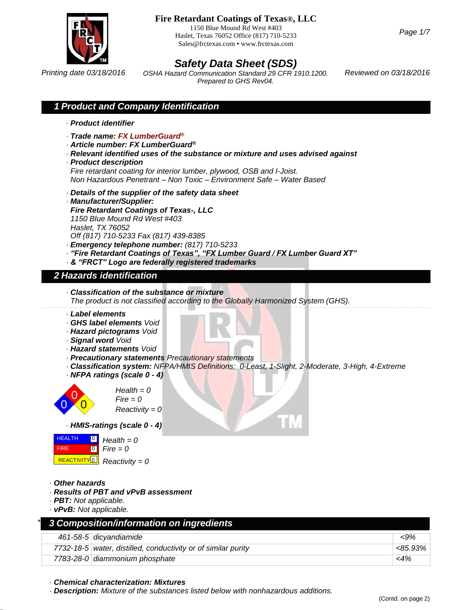

1150 Blue Mound Rd West #403 Haslet, Texas 76052 Office (817) 710-5233 Sales@frctexas.com • www.frctexas.com

*Page 1/7*

# *Safety Data Sheet (SDS)*

*Printing date 03/18/2016 Reviewed on 03/18/2016 OSHA Hazard Communication Standard 29 CFR 1910.1200. Prepared to GHS Rev04.*

### *1 Product and Company Identification*

- *· Product identifier*
- *· Trade name: FX LumberGuard®*
- *· Article number: FX LumberGuard®*
- *· Relevant identified uses of the substance or mixture and uses advised against*
- *· Product description*

*Fire retardant coating for interior lumber, plywood, OSB and I-Joist. Non Hazardous Penetrant – Non Toxic – Environment Safe – Water Based*

- *· Details of the supplier of the safety data sheet*
- *· Manufacturer/Supplier:*

*Fire Retardant Coatings of Texas*®*, LLC 1150 Blue Mound Rd West #403* 

- *Haslet, TX 76052*
- *Off (817) 710-5233 Fax (817) 439-8385*
- *· Emergency telephone number: (817) 710-5233*
- *· "Fire Retardant Coatings of Texas", "FX Lumber Guard / FX Lumber Guard XT"*
- *· & "FRCT" Logo are federally registered trademarks*

#### *2 Hazards identification*

*· Classification of the substance or mixture*

*The product is not classified according to the Globally Harmonized System (GHS).*

- *· Label elements*
- *· GHS label elements Void*
- *· Hazard pictograms Void*
- *· Signal word Void*
- *· Hazard statements Void*
- *· Precautionary statements Precautionary statements*
- *· Classification system: NFPA/HMIS Definitions: 0-Least, 1-Slight, 2-Moderate, 3-High, 4-Extreme*
- *· NFPA ratings (scale 0 - 4)*



*Health = 0*  $Fire = 0$ *Reactivity = 0*

*· HMIS-ratings (scale 0 - 4)*

|     | <b>HEALTH</b> $\begin{bmatrix} 0 \\ 1 \end{bmatrix}$ Health = 0 |
|-----|-----------------------------------------------------------------|
| FRE | $\begin{bmatrix} 0 \\ 1 \end{bmatrix}$ Fire = 0                 |
|     | $R$ REACTIVITY $\Omega$ Reactivity = 0                          |

*· Other hazards*

36.0.

- *· Results of PBT and vPvB assessment*
- *· PBT: Not applicable.*
- *· vPvB: Not applicable.*

| 3 Composition/information on ingredients                      |         |
|---------------------------------------------------------------|---------|
| 461-58-5 dicyandiamide                                        | $< 9\%$ |
| 7732-18-5 water, distilled, conductivity or of similar purity | <85.93% |
| 7783-28-0 diammonium phosphate                                | $<$ 4%  |

*· Chemical characterization: Mixtures*

*· Description: Mixture of the substances listed below with nonhazardous additions.*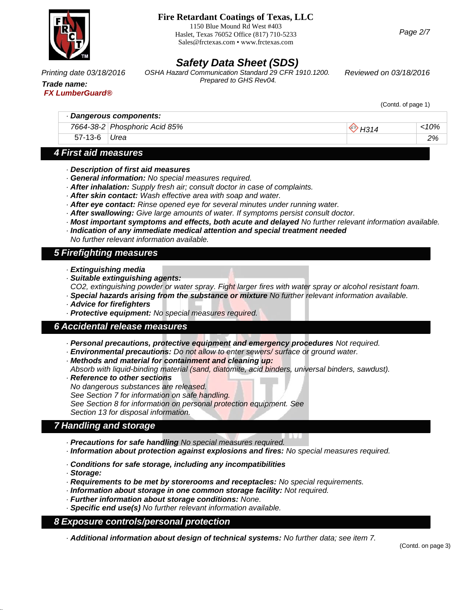

1150 Blue Mound Rd West #403 Haslet, Texas 76052 Office (817) 710-5233 Sales@frctexas.com • www.frctexas.com

*Page 2/7*

# *Safety Data Sheet (SDS)*

*OSHA Hazard Communication Standard 29 CFR 1910.1200. Printing date 03/18/2016 Reviewed on 03/18/2016*

# *Trade name: FX LumberGuard®*

*Prepared to GHS Rev04.*

(Contd. of page 1)

|         | Dangerous components:         |      |
|---------|-------------------------------|------|
|         | 7664-38-2 Phosphoric Acid 85% | :10% |
| 57-13-6 | Urea                          | 2%   |
|         |                               |      |

# *4 First aid measures*

- *· Description of first aid measures*
- *· General information: No special measures required.*
- *· After inhalation: Supply fresh air; consult doctor in case of complaints.*
- *· After skin contact: Wash effective area with soap and water.*
- *· After eye contact: Rinse opened eye for several minutes under running water.*
- *· After swallowing: Give large amounts of water. If symptoms persist consult doctor.*
- *· Most important symptoms and effects, both acute and delayed No further relevant information available.*
- *· Indication of any immediate medical attention and special treatment needed No further relevant information available.*

# *5 Firefighting measures*

- *· Extinguishing media*
- *· Suitable extinguishing agents:*
- *CO2, extinguishing powder or water spray. Fight larger fires with water spray or alcohol resistant foam.*
- *· Special hazards arising from the substance or mixture No further relevant information available.*
- *· Advice for firefighters*
- *· Protective equipment: No special measures required.*

### *6 Accidental release measures*

- *· Personal precautions, protective equipment and emergency procedures Not required.*
- *· Environmental precautions: Do not allow to enter sewers/ surface or ground water.*
- *· Methods and material for containment and cleaning up:*
- *Absorb with liquid-binding material (sand, diatomite, acid binders, universal binders, sawdust).*
- *· Reference to other sections No dangerous substances are released. See Section 7 for information on safe handling. See Section 8 for information on personal protection equipment. See Section 13 for disposal information.*

# *7 Handling and storage*

- *· Precautions for safe handling No special measures required.*
- *· Information about protection against explosions and fires: No special measures required.*
- *· Conditions for safe storage, including any incompatibilities*
- *· Storage:*

36.0.

- *· Requirements to be met by storerooms and receptacles: No special requirements.*
- *· Information about storage in one common storage facility: Not required.*
- *· Further information about storage conditions: None.*
- *· Specific end use(s) No further relevant information available.*

### *8 Exposure controls/personal protection*

*· Additional information about design of technical systems: No further data; see item 7.*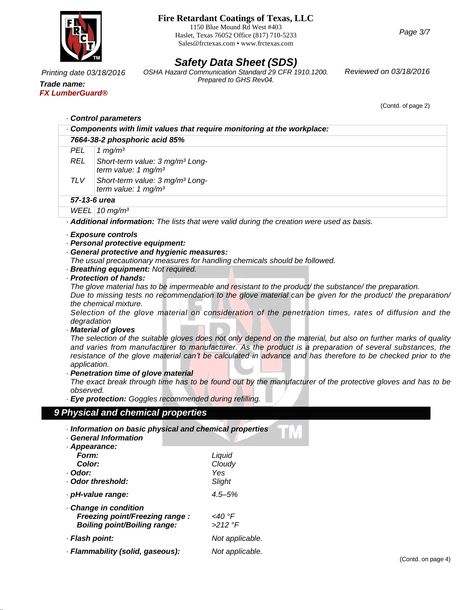

1150 Blue Mound Rd West #403 Haslet, Texas 76052 Office (817) 710-5233 Sales@frctexas.com • www.frctexas.com

*Page 3/7*

# *Safety Data Sheet (SDS)*

*OSHA Hazard Communication Standard 29 CFR 1910.1200. Printing date 03/18/2016 Reviewed on 03/18/2016 Prepared to GHS Rev04.*

*Trade name: FX LumberGuard®*

(Contd. of page 2)

|              | Components with limit values that require monitoring at the workplace:                                                                                                                                                                                                                                                                                                                                                                                                                                                                                                                                                                                                                                                                                                                                                                                                                           |
|--------------|--------------------------------------------------------------------------------------------------------------------------------------------------------------------------------------------------------------------------------------------------------------------------------------------------------------------------------------------------------------------------------------------------------------------------------------------------------------------------------------------------------------------------------------------------------------------------------------------------------------------------------------------------------------------------------------------------------------------------------------------------------------------------------------------------------------------------------------------------------------------------------------------------|
|              | 7664-38-2 phosphoric acid 85%                                                                                                                                                                                                                                                                                                                                                                                                                                                                                                                                                                                                                                                                                                                                                                                                                                                                    |
| <b>PEL</b>   | 1 $mg/m3$                                                                                                                                                                                                                                                                                                                                                                                                                                                                                                                                                                                                                                                                                                                                                                                                                                                                                        |
| <b>REL</b>   | Short-term value: 3 mg/m <sup>3</sup> Long-<br>term value: 1 $mg/m3$                                                                                                                                                                                                                                                                                                                                                                                                                                                                                                                                                                                                                                                                                                                                                                                                                             |
| <b>TLV</b>   | Short-term value: 3 mg/m <sup>3</sup> Long-<br>term value: $1 \text{ mg/m}^3$                                                                                                                                                                                                                                                                                                                                                                                                                                                                                                                                                                                                                                                                                                                                                                                                                    |
|              | 57-13-6 urea                                                                                                                                                                                                                                                                                                                                                                                                                                                                                                                                                                                                                                                                                                                                                                                                                                                                                     |
|              | WEEL 10 $mg/m3$                                                                                                                                                                                                                                                                                                                                                                                                                                                                                                                                                                                                                                                                                                                                                                                                                                                                                  |
|              | Additional information: The lists that were valid during the creation were used as basis.                                                                                                                                                                                                                                                                                                                                                                                                                                                                                                                                                                                                                                                                                                                                                                                                        |
|              | · Breathing equipment: Not required.<br>· Protection of hands:                                                                                                                                                                                                                                                                                                                                                                                                                                                                                                                                                                                                                                                                                                                                                                                                                                   |
| application. | The glove material has to be impermeable and resistant to the product the substance the preparation.<br>Due to missing tests no recommendation to the glove material can be given for the product/ the preparation/<br>the chemical mixture.<br>Selection of the glove material on consideration of the penetration times, rates of diffusion and the<br>degradation<br>Material of gloves<br>The selection of the suitable gloves does not only depend on the material, but also on further marks of quality<br>and varies from manufacturer to manufacturer. As the product is a preparation of several substances, the<br>resistance of the glove material can't be calculated in advance and has therefore to be checked prior to the<br>· Penetration time of glove material<br>The exact break through time has to be found out by the manufacturer of the protective gloves and has to be |

- *· Information on basic physical and chemical properties*
- *· General Information*

36.0.

| · Appearance:                       |                 |
|-------------------------------------|-----------------|
| Form:                               | Liquid          |
| Color:                              | Cloudy          |
| · Odor:                             | Yes             |
| Odor threshold:                     | Slight          |
| · pH-value range:                   | $4.5 - 5%$      |
| Change in condition                 |                 |
| Freezing point/Freezing range :     | <40 °F          |
| <b>Boiling point/Boiling range:</b> | $>212$ °F       |
| · Flash point:                      | Not applicable. |
| · Flammability (solid, gaseous):    | Not applicable. |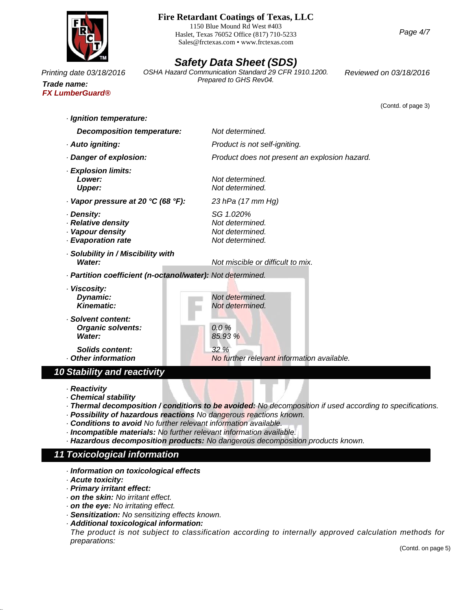

1150 Blue Mound Rd West #403 Haslet, Texas 76052 Office (817) 710-5233 Sales@frctexas.com • www.frctexas.com

# *Safety Data Sheet (SDS)*

*Printing date 03/18/2016 Reviewed on 03/18/2016 OSHA Hazard Communication Standard 29 CFR 1910.1200. Prepared to GHS Rev04.*

(Contd. of page 3)

*Trade name: FX LumberGuard®*

> *· Ignition temperature: Decomposition temperature: Not determined. · Auto igniting: Product is not self-igniting. · Danger of explosion: Product does not present an explosion hazard. · Explosion limits: Lower: Not determined. Upper: Not determined. · Vapor pressure at 20 °C (68 °F): 23 hPa (17 mm Hg) · Density: SG 1.020% · Relative density Not determined. · Vapour density Not determined. · Evaporation rate Not determined.*

- *· Solubility in / Miscibility with Water: Not miscible or difficult to mix.*
- *· Partition coefficient (n-octanol/water): Not determined.*
- *· Viscosity:* **Dynamic: Not** *Not* determined.<br>**Kinematic: Not** *Not* determined.
- *· Solvent content: Organic solvents: 0.0 % Water: 85.93 %*

*Solids content: 32 % · Other information No further relevant information available.*

### *10 Stability and reactivity*

*· Reactivity*

- *· Chemical stability*
- *· Thermal decomposition / conditions to be avoided: No decomposition if used according to specifications.*

*Kinematic: Not determined.*

- *· Possibility of hazardous reactions No dangerous reactions known.*
- *· Conditions to avoid No further relevant information available.*
- *· Incompatible materials: No further relevant information available.*
- *· Hazardous decomposition products: No dangerous decomposition products known.*

# *11 Toxicological information*

- *· Information on toxicological effects*
- *· Acute toxicity:*

36.0.

- *· Primary irritant effect:*
- *· on the skin: No irritant effect.*
- *· on the eye: No irritating effect.*
- *· Sensitization: No sensitizing effects known.*
- *· Additional toxicological information:*

*The product is not subject to classification according to internally approved calculation methods for preparations:*

(Contd. on page 5)

*Page 4/7*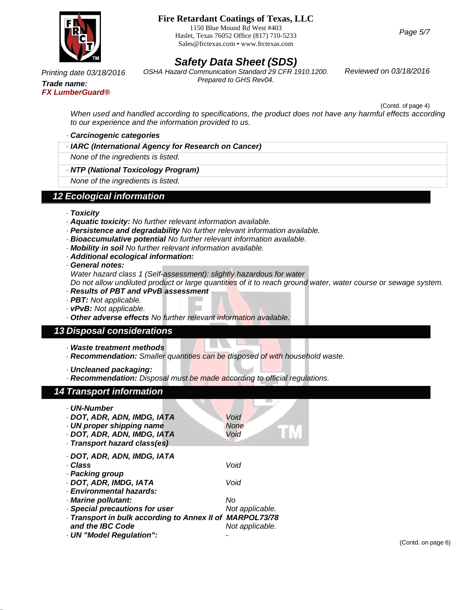

1150 Blue Mound Rd West #403 Haslet, Texas 76052 Office (817) 710-5233 Sales@frctexas.com • www.frctexas.com

*Safety Data Sheet (SDS) OSHA Hazard Communication Standard 29 CFR 1910.1200. Printing date 03/18/2016 Reviewed on 03/18/2016 Prepared to GHS Rev04.*

*Trade name: FX LumberGuard®*

(Contd. of page 4)

*When used and handled according to specifications, the product does not have any harmful effects according to our experience and the information provided to us.*

#### *· Carcinogenic categories*

*· IARC (International Agency for Research on Cancer)*

*None of the ingredients is listed.*

*· NTP (National Toxicology Program)*

*None of the ingredients is listed.*

#### *12 Ecological information*

- *· Toxicity*
- *· Aquatic toxicity: No further relevant information available.*
- *· Persistence and degradability No further relevant information available.*
- *· Bioaccumulative potential No further relevant information available.*
- *· Mobility in soil No further relevant information available.*
- *· Additional ecological information:*

*· General notes:*

*Water hazard class 1 (Self-assessment): slightly hazardous for water*

Do not allow undiluted product or large quantities of it to reach ground water, water course or sewage system.

- *· Results of PBT and vPvB assessment*
- *· PBT: Not applicable.*
- *· vPvB: Not applicable.*
- *· Other adverse effects No further relevant information available.*

#### *13 Disposal considerations*

- *· Waste treatment methods*
- *· Recommendation: Smaller quantities can be disposed of with household waste.*
- *· Uncleaned packaging:*
- *· Recommendation: Disposal must be made according to official regulations.*

#### *14 Transport information*

36.0.

| <b>UN-Number</b><br>· DOT, ADR, ADN, IMDG, IATA<br>· UN proper shipping name<br>· DOT, ADR, ADN, IMDG, IATA<br>· Transport hazard class(es) | Void<br><b>None</b><br>Void |
|---------------------------------------------------------------------------------------------------------------------------------------------|-----------------------------|
| · DOT, ADR, ADN, IMDG, IATA                                                                                                                 |                             |
| · Class                                                                                                                                     | Void                        |
| · Packing group                                                                                                                             |                             |
| · DOT, ADR, IMDG, IATA                                                                                                                      | Void                        |
| · Environmental hazards:                                                                                                                    |                             |
| · Marine pollutant:                                                                                                                         | No                          |
| · Special precautions for user                                                                                                              | Not applicable.             |
| Transport in bulk according to Annex II of MARPOL73/78                                                                                      |                             |
| and the IBC Code                                                                                                                            | Not applicable.             |
| · UN "Model Regulation":                                                                                                                    |                             |

(Contd. on page 6)

*Page 5/7*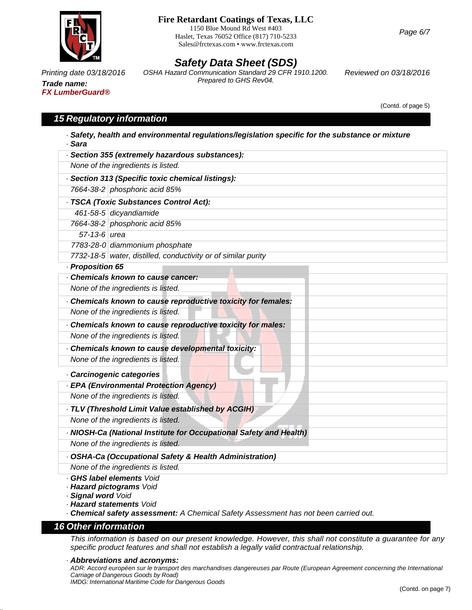

*Trade name: FX LumberGuard®*

### **Fire Retardant Coatings of Texas, LLC**

1150 Blue Mound Rd West #403 Haslet, Texas 76052 Office (817) 710-5233 Sales@frctexas.com • www.frctexas.com

# *Safety Data Sheet (SDS)*

*OSHA Hazard Communication Standard 29 CFR 1910.1200. Printing date 03/18/2016 Reviewed on 03/18/2016 Prepared to GHS Rev04.*

(Contd. of page 5)

## *15 Regulatory information*

| · Section 355 (extremely hazardous substances):                    |  |
|--------------------------------------------------------------------|--|
| None of the ingredients is listed.                                 |  |
| · Section 313 (Specific toxic chemical listings):                  |  |
| 7664-38-2 phosphoric acid 85%                                      |  |
| · TSCA (Toxic Substances Control Act):                             |  |
| 461-58-5 dicyandiamide                                             |  |
| 7664-38-2 phosphoric acid 85%                                      |  |
| 57-13-6 urea                                                       |  |
| 7783-28-0 diammonium phosphate                                     |  |
| 7732-18-5 water, distilled, conductivity or of similar purity      |  |
| · Proposition 65                                                   |  |
| Chemicals known to cause cancer:                                   |  |
| None of the ingredients is listed.                                 |  |
| Chemicals known to cause reproductive toxicity for females:        |  |
| None of the ingredients is listed.                                 |  |
| Chemicals known to cause reproductive toxicity for males:          |  |
| None of the ingredients is listed.                                 |  |
| Chemicals known to cause developmental toxicity:                   |  |
| None of the ingredients is listed.                                 |  |
| Carcinogenic categories                                            |  |
| - EPA (Environmental Protection Agency)                            |  |
| None of the ingredients is listed.                                 |  |
| · TLV (Threshold Limit Value established by ACGIH)                 |  |
| None of the ingredients is listed.                                 |  |
| · NIOSH-Ca (National Institute for Occupational Safety and Health) |  |
| None of the ingredients is listed.                                 |  |
| · OSHA-Ca (Occupational Safety & Health Administration)            |  |
| None of the ingredients is listed.                                 |  |
| · GHS label elements Void<br>· Hazard pictograms Void              |  |

*· Signal word Void*

*· Hazard statements Void*

*· Chemical safety assessment: A Chemical Safety Assessment has not been carried out.*

#### *16 Other information*

36.0.

This information is based on our present knowledge. However, this shall not constitute a guarantee for any *specific product features and shall not establish a legally valid contractual relationship.*

#### *· Abbreviations and acronyms:*

ADR: Accord européen sur le transport des marchandises dangereuses par Route (European Agreement concerning the International *Carriage of Dangerous Goods by Road) IMDG: International Maritime Code for Dangerous Goods*

*Page 6/7*